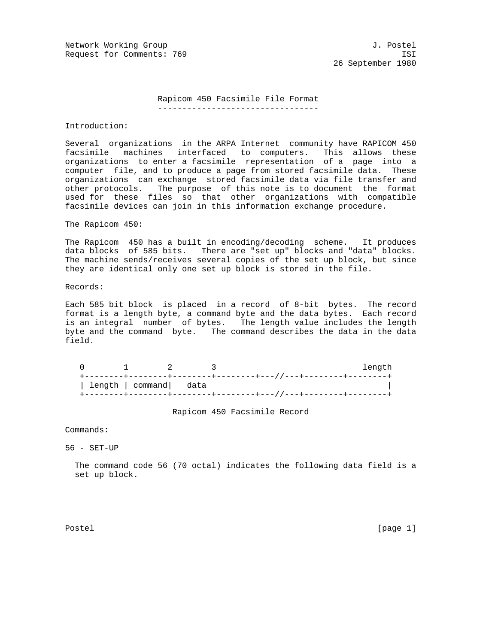Network Working Group 3. 2008 3. 2012 1. Postel Request for Comments: 769 ISI

26 September 1980

## Rapicom 450 Facsimile File Format

---------------------------------

Introduction:

Several organizations in the ARPA Internet community have RAPICOM 450 facsimile machines interfaced to computers. This allows these organizations to enter a facsimile representation of a page into a computer file, and to produce a page from stored facsimile data. These organizations can exchange stored facsimile data via file transfer and other protocols. The purpose of this note is to document the format used for these files so that other organizations with compatible facsimile devices can join in this information exchange procedure.

The Rapicom 450:

The Rapicom 450 has a built in encoding/decoding scheme. It produces data blocks of 585 bits. There are "set up" blocks and "data" blocks. The machine sends/receives several copies of the set up block, but since they are identical only one set up block is stored in the file.

Records:

Each 585 bit block is placed in a record of 8-bit bytes. The record format is a length byte, a command byte and the data bytes. Each record is an integral number of bytes. The length value includes the length byte and the command byte. The command describes the data in the data field.

|  |                         |  | Tenath |
|--|-------------------------|--|--------|
|  |                         |  |        |
|  | length   command   data |  |        |
|  |                         |  |        |

Rapicom 450 Facsimile Record

Commands:

56 - SET-UP

 The command code 56 (70 octal) indicates the following data field is a set up block.

Postel [page 1] [page 1] [page 1] [page 1] [page 1] [page 1] [page 1] [page 1] [page 1]